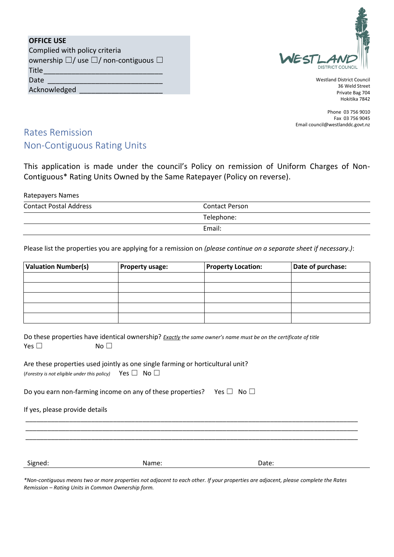| <b>OFFICE USE</b>                                              |
|----------------------------------------------------------------|
| Complied with policy criteria                                  |
| ownership $\square$ / use $\square$ / non-contiguous $\square$ |
| Title                                                          |
| Date                                                           |
| Acknowledged                                                   |



Westland District Council 36 Weld Street Private Bag 704 Hokitika 7842

Phone 03 756 9010 Fax 03 756 9045 Email council@westlanddc.govt.nz

## Rates Remission Non-Contiguous Rating Units

This application is made under the council's Policy on remission of Uniform Charges of Non-Contiguous\* Rating Units Owned by the Same Ratepayer (Policy on reverse).

#### Ratepayers Names

| <b>Contact Postal Address</b> | <b>Contact Person</b> |  |
|-------------------------------|-----------------------|--|
|                               | Telephone:            |  |
|                               | Email:                |  |

Please list the properties you are applying for a remission on *(please continue on a separate sheet if necessary.)*:

| <b>Valuation Number(s)</b> | <b>Property usage:</b> | <b>Property Location:</b> | Date of purchase: |
|----------------------------|------------------------|---------------------------|-------------------|
|                            |                        |                           |                   |
|                            |                        |                           |                   |
|                            |                        |                           |                   |
|                            |                        |                           |                   |
|                            |                        |                           |                   |

|            | Do these properties have identical ownership? Exactly the same owner's name must be on the certificate of title |
|------------|-----------------------------------------------------------------------------------------------------------------|
| Yes $\Box$ | No <sub>1</sub>                                                                                                 |

| Are these properties used jointly as one single farming or horticultural unit? |  |  |
|--------------------------------------------------------------------------------|--|--|
| (Forestry is not eligible under this policy) Yes $\Box$ No $\Box$              |  |  |

Do you earn non-farming income on any of these properties? Yes  $\Box$  No  $\Box$ 

If yes, please provide details

Signed: Name: Name: 2009 Date: 2009 Date: 2009 Date: 2009 Date: 2009 Date: 2009 Date: 2009 Date: 2009 Date: 20

*\*Non-contiguous means two or more properties not adjacent to each other. If your properties are adjacent, please complete the Rates Remission – Rating Units in Common Ownership form.*

\_\_\_\_\_\_\_\_\_\_\_\_\_\_\_\_\_\_\_\_\_\_\_\_\_\_\_\_\_\_\_\_\_\_\_\_\_\_\_\_\_\_\_\_\_\_\_\_\_\_\_\_\_\_\_\_\_\_\_\_\_\_\_\_\_\_\_\_\_\_\_\_\_\_\_\_\_\_\_\_\_\_\_\_\_\_\_\_\_\_\_ \_\_\_\_\_\_\_\_\_\_\_\_\_\_\_\_\_\_\_\_\_\_\_\_\_\_\_\_\_\_\_\_\_\_\_\_\_\_\_\_\_\_\_\_\_\_\_\_\_\_\_\_\_\_\_\_\_\_\_\_\_\_\_\_\_\_\_\_\_\_\_\_\_\_\_\_\_\_\_\_\_\_\_\_\_\_\_\_\_\_\_ \_\_\_\_\_\_\_\_\_\_\_\_\_\_\_\_\_\_\_\_\_\_\_\_\_\_\_\_\_\_\_\_\_\_\_\_\_\_\_\_\_\_\_\_\_\_\_\_\_\_\_\_\_\_\_\_\_\_\_\_\_\_\_\_\_\_\_\_\_\_\_\_\_\_\_\_\_\_\_\_\_\_\_\_\_\_\_\_\_\_\_